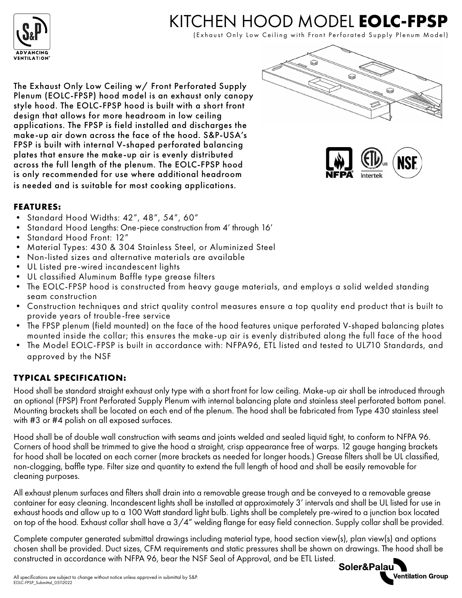

## KITCHEN HOOD MODEL **EOLC-FPSP**

(Exhaust Only Low Ceiling with Front Perforated Supply Plenum Model)

The Exhaust Only Low Ceiling w/ Front Perforated Supply Plenum (EOLC-FPSP) hood model is an exhaust only canopy style hood. The EOLC-FPSP hood is built with a short front design that allows for more headroom in low ceiling applications. The FPSP is field installed and discharges the make-up air down across the face of the hood. S&P-USA's FPSP is built with internal V-shaped perforated balancing plates that ensure the make-up air is evenly distributed across the full length of the plenum. The EOLC-FPSP hood is only recommended for use where additional headroom is needed and is suitable for most cooking applications.





## **FEATURES:**

- Standard Hood Widths: 42", 48", 54", 60"
- Standard Hood Lengths: One-piece construction from 4' through 16'
- Standard Hood Front: 12"
- Material Types: 430 & 304 Stainless Steel, or Aluminized Steel
- Non-listed sizes and alternative materials are available
- UL Listed pre-wired incandescent lights
- UL classified Aluminum Baffle type grease filters
- The EOLC-FPSP hood is constructed from heavy gauge materials, and employs a solid welded standing seam construction
- Construction techniques and strict quality control measures ensure a top quality end product that is built to provide years of trouble-free service
- The FPSP plenum (field mounted) on the face of the hood features unique perforated V-shaped balancing plates mounted inside the collar; this ensures the make-up air is evenly distributed along the full face of the hood
- The Model EOLC-FPSP is built in accordance with: NFPA96, ETL listed and tested to UL710 Standards, and approved by the NSF

## **TYPICAL SPECIFICATION:**

Hood shall be standard straight exhaust only type with a short front for low ceiling. Make-up air shall be introduced through an optional (FPSP) Front Perforated Supply Plenum with internal balancing plate and stainless steel perforated bottom panel. Mounting brackets shall be located on each end of the plenum. The hood shall be fabricated from Type 430 stainless steel with #3 or #4 polish on all exposed surfaces.

Hood shall be of double wall construction with seams and joints welded and sealed liquid tight, to conform to NFPA 96. Corners of hood shall be trimmed to give the hood a straight, crisp appearance free of warps. 12 gauge hanging brackets for hood shall be located on each corner (more brackets as needed for longer hoods.) Grease filters shall be UL classified, non-clogging, baffle type. Filter size and quantity to extend the full length of hood and shall be easily removable for cleaning purposes.

All exhaust plenum surfaces and filters shall drain into a removable grease trough and be conveyed to a removable grease container for easy cleaning. Incandescent lights shall be installed at approximately 3' intervals and shall be UL listed for use in exhaust hoods and allow up to a 100 Watt standard light bulb. Lights shall be completely pre-wired to a junction box located on top of the hood. Exhaust collar shall have a 3/4" welding flange for easy field connection. Supply collar shall be provided.

Complete computer generated submittal drawings including material type, hood section view(s), plan view(s) and options chosen shall be provided. Duct sizes, CFM requirements and static pressures shall be shown on drawings. The hood shall be constructed in accordance with NFPA 96, bear the NSF Seal of Approval, and be ETL Listed.